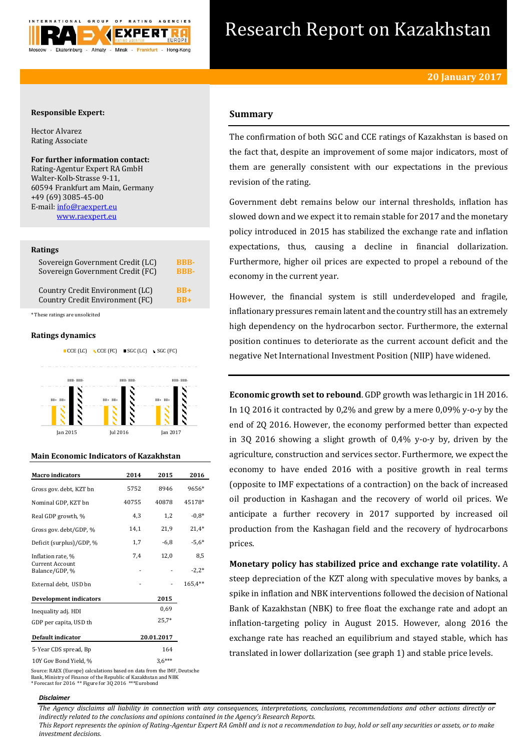

# Research Report on Kazakhstan

## **Responsible Expert:**

Hector Alvarez Rating Associate

## **For further information contact:**

Rating-Agentur Expert RA GmbH Walter-Kolb-Strasse 9-11, 60594 Frankfurt am Main, Germany +49 (69) 3085-45-00 E-mail[: info@raexpert.eu](mailto:info@raexpert.eu) [www.raexpert.eu](http://raexpert.eu/)

## **Ratings**

| Sovereign Government Credit (LC) | <b>BBB-</b> |
|----------------------------------|-------------|
| Sovereign Government Credit (FC) | <b>BBB-</b> |
| Country Credit Environment (LC)  | $RB+$       |
| Country Credit Environment (FC)  | $RR+$       |

\* These ratings are unsolicited

## **Ratings dynamics**





## **Main Economic Indicators of Kazakhstan**

| <b>Macro</b> indicators                  | 2014  | 2015       | 2016    |
|------------------------------------------|-------|------------|---------|
| Gross gov. debt, KZT bn                  | 5752  | 8946       | 9656*   |
| Nominal GDP, KZT bn                      | 40755 | 40878      | 45178*  |
| Real GDP growth, %                       | 4,3   | 1,2        | $-0.8*$ |
| Gross gov. debt/GDP, %                   | 14,1  | 21,9       | $21,4*$ |
| Deficit (surplus)/GDP, %                 | 1,7   | $-6,8$     | $-5,6*$ |
| Inflation rate, %                        | 7,4   | 12,0       | 8,5     |
| <b>Current Account</b><br>Balance/GDP, % |       |            | $-2,2*$ |
| External debt, USD bn                    |       |            | 165,4** |
| <b>Development indicators</b>            |       | 2015       |         |
| Inequality adj. HDI                      |       | 0.69       |         |
| GDP per capita, USD th                   |       | $25.7*$    |         |
| Default indicator                        |       | 20.01.2017 |         |
| 5-Year CDS spread, Bp                    |       | 164        |         |
| 10Y Gov Bond Yield, %                    |       | $3.6***$   |         |

Source: RAEX (Europe) calculations based on data from the IMF, Deutsche Bank, Ministry of Finance of the Republic of Kazakhstan and NBK \* Forecast for 2016 \*\* Figure for 3Q 2016 \*\*\*Eurobond

#### *Disclaimer*

# **Summary**

The confirmation of both SGC and CCE ratings of Kazakhstan is based on the fact that, despite an improvement of some major indicators, most of them are generally consistent with our expectations in the previous revision of the rating.

Government debt remains below our internal thresholds, inflation has slowed down and we expect it to remain stable for 2017 and the monetary policy introduced in 2015 has stabilized the exchange rate and inflation expectations, thus, causing a decline in financial dollarization. Furthermore, higher oil prices are expected to propel a rebound of the economy in the current year.

However, the financial system is still underdeveloped and fragile, inflationary pressures remain latent and the country still has an extremely high dependency on the hydrocarbon sector. Furthermore, the external position continues to deteriorate as the current account deficit and the negative Net International Investment Position (NIIP) have widened.

**Economic growth set to rebound**. GDP growth was lethargic in 1H 2016. In 1Q 2016 it contracted by 0,2% and grew by a mere 0,09% y-o-y by the end of 2Q 2016. However, the economy performed better than expected in 3Q 2016 showing a slight growth of 0,4% y-o-y by, driven by the agriculture, construction and services sector. Furthermore, we expect the economy to have ended 2016 with a positive growth in real terms (opposite to IMF expectations of a contraction) on the back of increased oil production in Kashagan and the recovery of world oil prices. We anticipate a further recovery in 2017 supported by increased oil production from the Kashagan field and the recovery of hydrocarbons prices.

**Monetary policy has stabilized price and exchange rate volatility.** A steep depreciation of the KZT along with speculative moves by banks, a spike in inflation and NBK interventions followed the decision of National Bank of Kazakhstan (NBK) to free float the exchange rate and adopt an inflation-targeting policy in August 2015. However, along 2016 the exchange rate has reached an equilibrium and stayed stable, which has translated in lower dollarization (see graph 1) and stable price levels.

*The Agency disclaims all liability in connection with any consequences, interpretations, conclusions, recommendations and other actions directly or indirectly related to the conclusions and opinions contained in the Agency's Research Reports.*

*This Report represents the opinion of Rating-Agentur Expert RA GmbH and is not a recommendation to buy, hold or sell any securities or assets, or to make investment decisions.*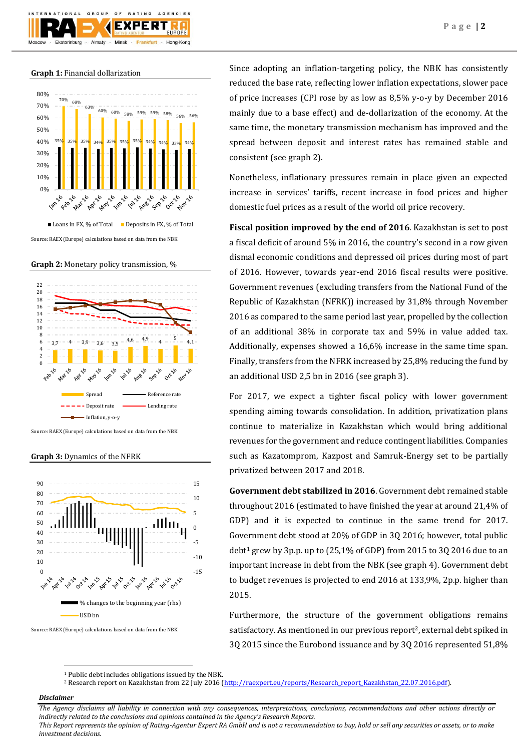

GROUP

 $O F$ 

**BATING** 

AGENCIES

**Graph 1:** Financial dollarization

**TION** 



Source: RAEX (Europe) calculations based on data from the NBK

**Graph 2:** Monetary policy transmission, %



Source: RAEX (Europe) calculations based on data from the NBK

**Graph 3:** Dynamics of the NFRK



Source: RAEX (Europe) calculations based on data from the NBK

Since adopting an inflation-targeting policy, the NBK has consistently reduced the base rate, reflecting lower inflation expectations, slower pace of price increases (CPI rose by as low as 8,5% y-o-y by December 2016 mainly due to a base effect) and de-dollarization of the economy. At the same time, the monetary transmission mechanism has improved and the spread between deposit and interest rates has remained stable and consistent (see graph 2).

Nonetheless, inflationary pressures remain in place given an expected increase in services' tariffs, recent increase in food prices and higher domestic fuel prices as a result of the world oil price recovery.

**Fiscal position improved by the end of 2016**. Kazakhstan is set to post a fiscal deficit of around 5% in 2016, the country's second in a row given dismal economic conditions and depressed oil prices during most of part of 2016. However, towards year-end 2016 fiscal results were positive. Government revenues (excluding transfers from the National Fund of the Republic of Kazakhstan (NFRK)) increased by 31,8% through November 2016 as compared to the same period last year, propelled by the collection of an additional 38% in corporate tax and 59% in value added tax. Additionally, expenses showed a 16,6% increase in the same time span. Finally, transfers from the NFRK increased by 25,8% reducing the fund by an additional USD 2,5 bn in 2016 (see graph 3).

For 2017, we expect a tighter fiscal policy with lower government spending aiming towards consolidation. In addition, privatization plans continue to materialize in Kazakhstan which would bring additional revenues for the government and reduce contingent liabilities. Companies such as Kazatomprom, Kazpost and Samruk-Energy set to be partially privatized between 2017 and 2018.

**Government debt stabilized in 2016**. Government debt remained stable throughout 2016 (estimated to have finished the year at around 21,4% of GDP) and it is expected to continue in the same trend for 2017. Government debt stood at 20% of GDP in 3Q 2016; however, total public debt<sup>1</sup> grew by 3p.p. up to  $(25,1\%$  of GDP) from 2015 to 30 2016 due to an important increase in debt from the NBK (see graph 4). Government debt to budget revenues is projected to end 2016 at 133,9%, 2p.p. higher than 2015.

Furthermore, the structure of the government obligations remains satisfactory. As mentioned in our previous report<sup>2</sup>, external debt spiked in 3Q 2015 since the Eurobond issuance and by 3Q 2016 represented 51,8%

## *Disclaimer*

 $\overline{a}$ 

*The Agency disclaims all liability in connection with any consequences, interpretations, conclusions, recommendations and other actions directly or indirectly related to the conclusions and opinions contained in the Agency's Research Reports. This Report represents the opinion of Rating-Agentur Expert RA GmbH and is not a recommendation to buy, hold or sell any securities or assets, or to make* 

*investment decisions.*

<sup>1</sup> Public debt includes obligations issued by the NBK.

<sup>&</sup>lt;sup>2</sup> Research report on Kazakhstan from 22 July 2016 [\(http://raexpert.eu/reports/Research\\_report\\_Kazakhstan\\_22.07.2016.pdf\)](http://raexpert.eu/reports/Research_report_Kazakhstan_22.07.2016.pdf).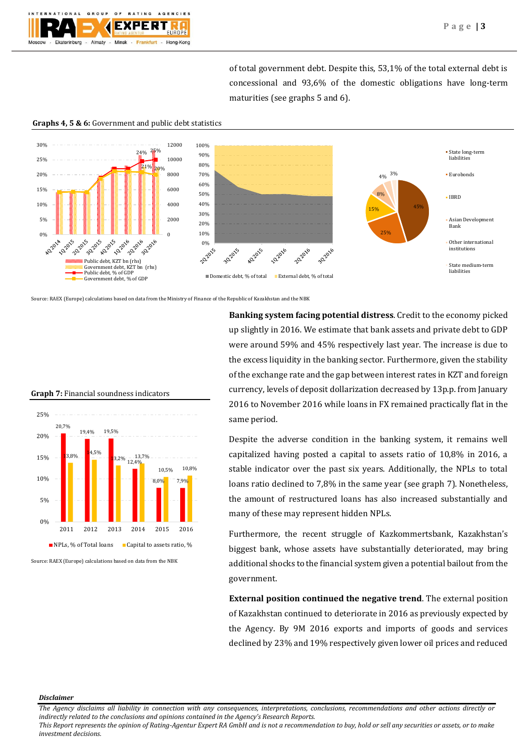

of total government debt. Despite this, 53,1% of the total external debt is concessional and 93,6% of the domestic obligations have long-term maturities (see graphs 5 and 6).

**Graphs 4, 5 & 6:** Government and public debt statistics



Source: RAEX (Europe) calculations based on data from the Ministry of Finance of the Republic of Kazakhstan and the NBK

**Banking system facing potential distress**. Credit to the economy picked up slightly in 2016. We estimate that bank assets and private debt to GDP were around 59% and 45% respectively last year. The increase is due to the excess liquidity in the banking sector. Furthermore, given the stability of the exchange rate and the gap between interest rates in KZT and foreign currency, levels of deposit dollarization decreased by 13p.p. from January 2016 to November 2016 while loans in FX remained practically flat in the same period.

Despite the adverse condition in the banking system, it remains well capitalized having posted a capital to assets ratio of 10,8% in 2016, a stable indicator over the past six years. Additionally, the NPLs to total loans ratio declined to 7,8% in the same year (see graph 7). Nonetheless, the amount of restructured loans has also increased substantially and many of these may represent hidden NPLs.

Furthermore, the recent struggle of Kazkommertsbank, Kazakhstan's biggest bank, whose assets have substantially deteriorated, may bring additional shocks to the financial system given a potential bailout from the government.

**External position continued the negative trend**. The external position of Kazakhstan continued to deteriorate in 2016 as previously expected by the Agency. By 9M 2016 exports and imports of goods and services declined by 23% and 19% respectively given lower oil prices and reduced

## **Graph 7:** Financial soundness indicators



Source: RAEX (Europe) calculations based on data from the NBK

## *Disclaimer*

*This Report represents the opinion of Rating-Agentur Expert RA GmbH and is not a recommendation to buy, hold or sell any securities or assets, or to make investment decisions.*

*The Agency disclaims all liability in connection with any consequences, interpretations, conclusions, recommendations and other actions directly or indirectly related to the conclusions and opinions contained in the Agency's Research Reports.*